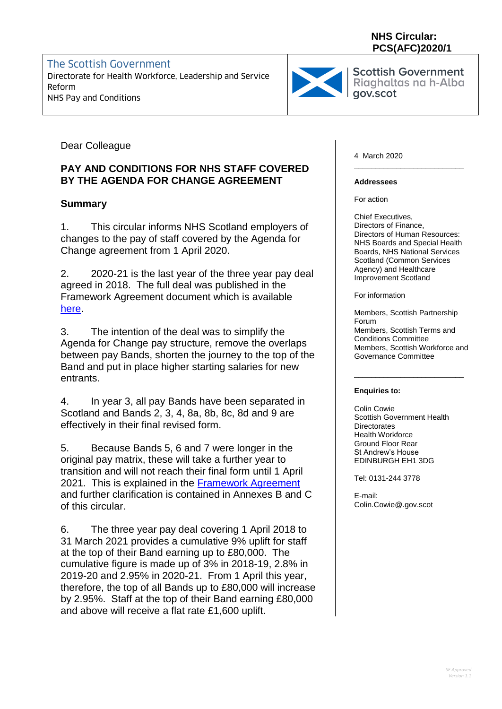### **NHS Circular: PCS(AFC)2020/1**

The Scottish Government Directorate for Health Workforce, Leadership and Service Reform Ridghaltas Ridghaltas NHS Pay and Conditions Reform



Scottish Government<br>Rigghaltas ng h-Alba

Dear Colleague

## **PAY AND CONDITIONS FOR NHS STAFF COVERED BY THE AGENDA FOR CHANGE AGREEMENT**

## **Summary**

1. This circular informs NHS Scotland employers of changes to the pay of staff covered by the Agenda for Change agreement from 1 April 2020.

2. 2020-21 is the last year of the three year pay deal agreed in 2018. The full deal was published in the Framework Agreement document which is available [here.](https://www.stac.scot.nhs.uk/wp-content/uploads/Test.pdf)

3. The intention of the deal was to simplify the Agenda for Change pay structure, remove the overlaps between pay Bands, shorten the journey to the top of the Band and put in place higher starting salaries for new entrants.

4. In year 3, all pay Bands have been separated in Scotland and Bands 2, 3, 4, 8a, 8b, 8c, 8d and 9 are effectively in their final revised form.

5. Because Bands 5, 6 and 7 were longer in the original pay matrix, these will take a further year to transition and will not reach their final form until 1 April 2021. This is explained in the [Framework Agreement](https://www.stac.scot.nhs.uk/wp-content/uploads/Test.pdf) and further clarification is contained in Annexes B and C of this circular.

6. The three year pay deal covering 1 April 2018 to 31 March 2021 provides a cumulative 9% uplift for staff at the top of their Band earning up to £80,000. The cumulative figure is made up of 3% in 2018-19, 2.8% in 2019-20 and 2.95% in 2020-21. From 1 April this year, therefore, the top of all Bands up to £80,000 will increase by 2.95%. Staff at the top of their Band earning £80,000 and above will receive a flat rate £1,600 uplift.

4 March 2020

#### **Addressees**

For action

Chief Executives, Directors of Finance, Directors of Human Resources: NHS Boards and Special Health Boards, NHS National Services Scotland (Common Services Agency) and Healthcare Improvement Scotland

\_\_\_\_\_\_\_\_\_\_\_\_\_\_\_\_\_\_\_\_\_\_\_\_\_\_

For information

Members, Scottish Partnership Forum Members, Scottish Terms and Conditions Committee Members, Scottish Workforce and Governance Committee

\_\_\_\_\_\_\_\_\_\_\_\_\_\_\_\_\_\_\_\_\_\_\_\_\_\_

#### **Enquiries to:**

Colin Cowie Scottish Government Health **Directorates** Health Workforce Ground Floor Rear St Andrew's House EDINBURGH EH1 3DG

Tel: 0131-244 3778

E-mail: Colin.Cowie@.gov.scot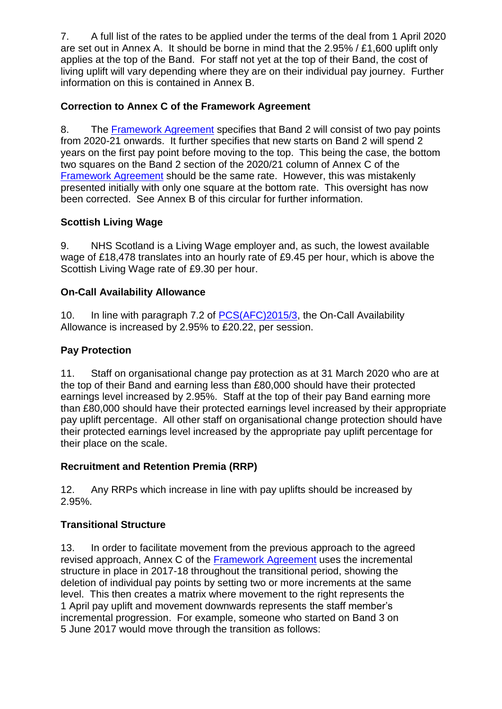7. A full list of the rates to be applied under the terms of the deal from 1 April 2020 are set out in Annex A. It should be borne in mind that the 2.95% / £1,600 uplift only applies at the top of the Band. For staff not yet at the top of their Band, the cost of living uplift will vary depending where they are on their individual pay journey. Further information on this is contained in Annex B.

## **Correction to Annex C of the Framework Agreement**

8. The [Framework Agreement](https://www.stac.scot.nhs.uk/wp-content/uploads/Test.pdf) specifies that Band 2 will consist of two pay points from 2020-21 onwards. It further specifies that new starts on Band 2 will spend 2 years on the first pay point before moving to the top. This being the case, the bottom two squares on the Band 2 section of the 2020/21 column of Annex C of the [Framework Agreement](https://www.stac.scot.nhs.uk/wp-content/uploads/Test.pdf) should be the same rate. However, this was mistakenly presented initially with only one square at the bottom rate. This oversight has now been corrected. See Annex B of this circular for further information.

## **Scottish Living Wage**

9. NHS Scotland is a Living Wage employer and, as such, the lowest available wage of £18,478 translates into an hourly rate of £9.45 per hour, which is above the Scottish Living Wage rate of £9.30 per hour.

## **On-Call Availability Allowance**

10. In line with paragraph 7.2 of [PCS\(AFC\)2015/3,](https://www.sehd.scot.nhs.uk/pcs/PCS2015(AFC)03.pdf) the On-Call Availability Allowance is increased by 2.95% to £20.22, per session.

## **Pay Protection**

11. Staff on organisational change pay protection as at 31 March 2020 who are at the top of their Band and earning less than £80,000 should have their protected earnings level increased by 2.95%. Staff at the top of their pay Band earning more than £80,000 should have their protected earnings level increased by their appropriate pay uplift percentage. All other staff on organisational change protection should have their protected earnings level increased by the appropriate pay uplift percentage for their place on the scale.

## **Recruitment and Retention Premia (RRP)**

12. Any RRPs which increase in line with pay uplifts should be increased by 2.95%.

## **Transitional Structure**

13. In order to facilitate movement from the previous approach to the agreed revised approach, Annex C of the [Framework Agreement](https://www.stac.scot.nhs.uk/wp-content/uploads/Test.pdf) uses the incremental structure in place in 2017-18 throughout the transitional period, showing the deletion of individual pay points by setting two or more increments at the same level. This then creates a matrix where movement to the right represents the 1 April pay uplift and movement downwards represents the staff member's incremental progression. For example, someone who started on Band 3 on 5 June 2017 would move through the transition as follows: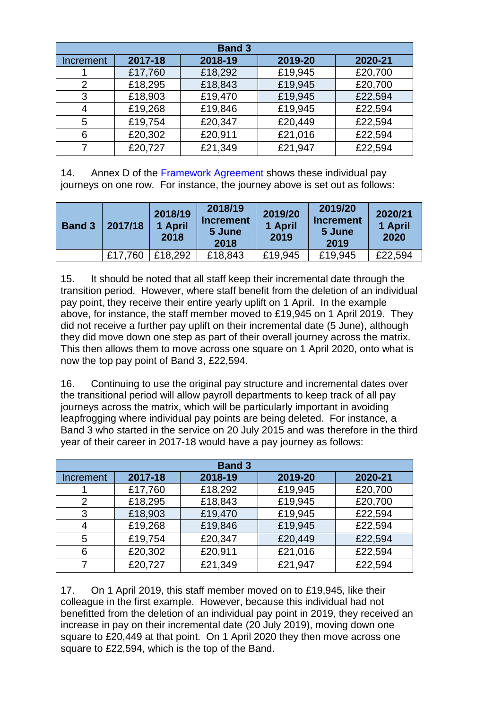| <b>Band 3</b> |         |         |         |         |  |
|---------------|---------|---------|---------|---------|--|
| Increment     | 2017-18 | 2018-19 | 2019-20 | 2020-21 |  |
|               | £17,760 | £18,292 | £19,945 | £20,700 |  |
| 2             | £18,295 | £18,843 | £19,945 | £20,700 |  |
| 3             | £18,903 | £19,470 | £19,945 | £22,594 |  |
| 4             | £19,268 | £19,846 | £19,945 | £22,594 |  |
| 5             | £19,754 | £20,347 | £20,449 | £22,594 |  |
| 6             | £20,302 | £20,911 | £21,016 | £22,594 |  |
|               | £20,727 | £21,349 | £21,947 | £22,594 |  |

14. Annex D of the [Framework Agreement](https://www.stac.scot.nhs.uk/wp-content/uploads/Test.pdf) shows these individual pay journeys on one row. For instance, the journey above is set out as follows:

| <b>Band 3</b> | 2017/18 | 2018/19<br>1 April<br>2018 | 2018/19<br><b>Increment</b><br>5 June<br>2018 | 2019/20<br>1 April<br>2019 | 2019/20<br><b>Increment</b><br>5 June<br>2019 | 2020/21<br>1 April<br>2020 |
|---------------|---------|----------------------------|-----------------------------------------------|----------------------------|-----------------------------------------------|----------------------------|
|               | £17,760 | £18,292                    | £18,843                                       | £19,945                    | £19,945                                       | £22,594                    |

15. It should be noted that all staff keep their incremental date through the transition period. However, where staff benefit from the deletion of an individual pay point, they receive their entire yearly uplift on 1 April. In the example above, for instance, the staff member moved to £19,945 on 1 April 2019. They did not receive a further pay uplift on their incremental date (5 June), although they did move down one step as part of their overall journey across the matrix. This then allows them to move across one square on 1 April 2020, onto what is now the top pay point of Band 3, £22,594.

16. Continuing to use the original pay structure and incremental dates over the transitional period will allow payroll departments to keep track of all pay journeys across the matrix, which will be particularly important in avoiding leapfrogging where individual pay points are being deleted. For instance, a Band 3 who started in the service on 20 July 2015 and was therefore in the third year of their career in 2017-18 would have a pay journey as follows:

| <b>Band 3</b> |         |         |         |         |  |
|---------------|---------|---------|---------|---------|--|
| Increment     | 2017-18 | 2018-19 | 2019-20 | 2020-21 |  |
|               | £17,760 | £18,292 | £19,945 | £20,700 |  |
| 2             | £18,295 | £18,843 | £19,945 | £20,700 |  |
| 3             | £18,903 | £19,470 | £19,945 | £22,594 |  |
| 4             | £19,268 | £19,846 | £19,945 | £22,594 |  |
| 5             | £19,754 | £20,347 | £20,449 | £22,594 |  |
| 6             | £20,302 | £20,911 | £21,016 | £22,594 |  |
|               | £20,727 | £21,349 | £21,947 | £22,594 |  |

17. On 1 April 2019, this staff member moved on to £19,945, like their colleague in the first example. However, because this individual had not benefitted from the deletion of an individual pay point in 2019, they received an increase in pay on their incremental date (20 July 2019), moving down one square to £20,449 at that point. On 1 April 2020 they then move across one square to £22,594, which is the top of the Band.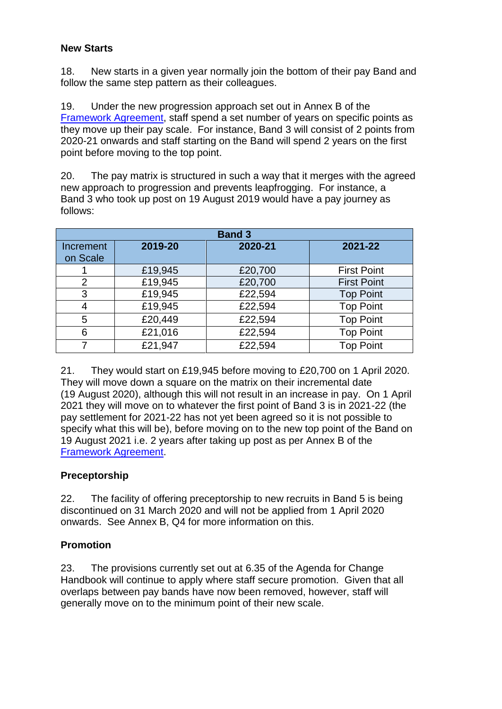### **New Starts**

18. New starts in a given year normally join the bottom of their pay Band and follow the same step pattern as their colleagues.

19. Under the new progression approach set out in Annex B of the [Framework Agreement,](https://www.stac.scot.nhs.uk/wp-content/uploads/Test.pdf) staff spend a set number of years on specific points as they move up their pay scale. For instance, Band 3 will consist of 2 points from 2020-21 onwards and staff starting on the Band will spend 2 years on the first point before moving to the top point.

20. The pay matrix is structured in such a way that it merges with the agreed new approach to progression and prevents leapfrogging. For instance, a Band 3 who took up post on 19 August 2019 would have a pay journey as follows:

| <b>Band 3</b>         |         |         |                    |  |  |
|-----------------------|---------|---------|--------------------|--|--|
| Increment<br>on Scale | 2019-20 | 2020-21 | 2021-22            |  |  |
|                       | £19,945 | £20,700 | <b>First Point</b> |  |  |
| $\mathcal{P}$         | £19,945 | £20,700 | <b>First Point</b> |  |  |
| 3                     | £19,945 | £22,594 | <b>Top Point</b>   |  |  |
| 4                     | £19,945 | £22,594 | <b>Top Point</b>   |  |  |
| 5                     | £20,449 | £22,594 | <b>Top Point</b>   |  |  |
| 6                     | £21,016 | £22,594 | <b>Top Point</b>   |  |  |
|                       | £21,947 | £22,594 | <b>Top Point</b>   |  |  |

21. They would start on £19,945 before moving to £20,700 on 1 April 2020. They will move down a square on the matrix on their incremental date (19 August 2020), although this will not result in an increase in pay. On 1 April 2021 they will move on to whatever the first point of Band 3 is in 2021-22 (the pay settlement for 2021-22 has not yet been agreed so it is not possible to specify what this will be), before moving on to the new top point of the Band on 19 August 2021 i.e. 2 years after taking up post as per Annex B of the [Framework Agreement.](https://www.stac.scot.nhs.uk/wp-content/uploads/Test.pdf)

## **Preceptorship**

22. The facility of offering preceptorship to new recruits in Band 5 is being discontinued on 31 March 2020 and will not be applied from 1 April 2020 onwards. See Annex B, Q4 for more information on this.

## **Promotion**

23. The provisions currently set out at 6.35 of the Agenda for Change Handbook will continue to apply where staff secure promotion. Given that all overlaps between pay bands have now been removed, however, staff will generally move on to the minimum point of their new scale.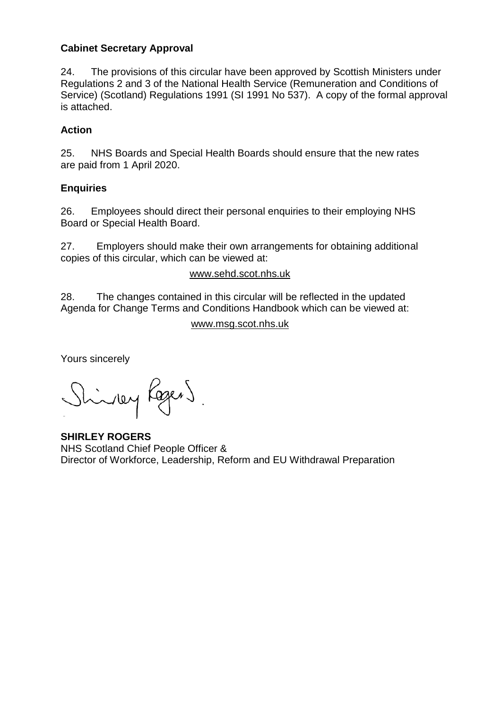### **Cabinet Secretary Approval**

24. The provisions of this circular have been approved by Scottish Ministers under Regulations 2 and 3 of the National Health Service (Remuneration and Conditions of Service) (Scotland) Regulations 1991 (SI 1991 No 537). A copy of the formal approval is attached.

### **Action**

25. NHS Boards and Special Health Boards should ensure that the new rates are paid from 1 April 2020.

### **Enquiries**

26. Employees should direct their personal enquiries to their employing NHS Board or Special Health Board.

27. Employers should make their own arrangements for obtaining additional copies of this circular, which can be viewed at:

### [www.sehd.scot.nhs.uk](http://www.sehd.scot.nhs.uk/)

28. The changes contained in this circular will be reflected in the updated Agenda for Change Terms and Conditions Handbook which can be viewed at:

#### [www.msg.scot.nhs.uk](http://www.msg.scot.nhs.uk/)

Yours sincerely

Shinky Rogers.

**SHIRLEY ROGERS** NHS Scotland Chief People Officer & Director of Workforce, Leadership, Reform and EU Withdrawal Preparation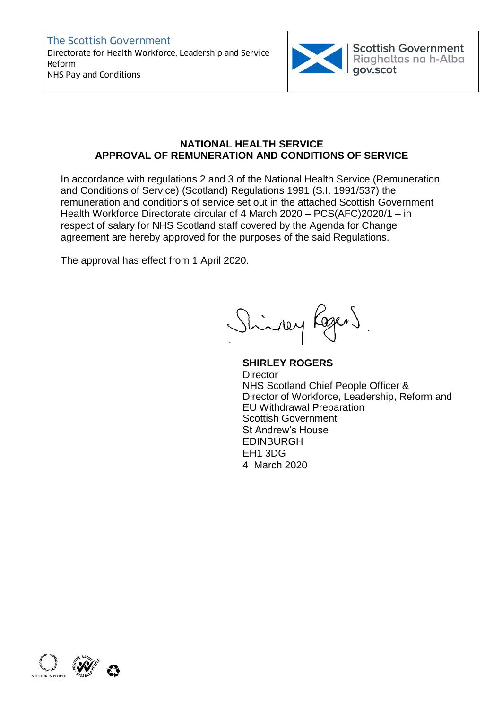The Scottish Government Directorate for Health Workforce, Leadership and Service Reform Ridghaltas Reform NHS Pay and Conditions Reform



Scottish Government<br>Riaghaltas na h-Alba

#### **NATIONAL HEALTH SERVICE APPROVAL OF REMUNERATION AND CONDITIONS OF SERVICE**

In accordance with regulations 2 and 3 of the National Health Service (Remuneration and Conditions of Service) (Scotland) Regulations 1991 (S.I. 1991/537) the remuneration and conditions of service set out in the attached Scottish Government Health Workforce Directorate circular of 4 March 2020 – PCS(AFC)2020/1 – in respect of salary for NHS Scotland staff covered by the Agenda for Change agreement are hereby approved for the purposes of the said Regulations.

The approval has effect from 1 April 2020.

Shindley Koger)

**SHIRLEY ROGERS Director** NHS Scotland Chief People Officer & Director of Workforce, Leadership, Reform and EU Withdrawal Preparation Scottish Government St Andrew's House EDINBURGH EH1 3DG 4 March 2020

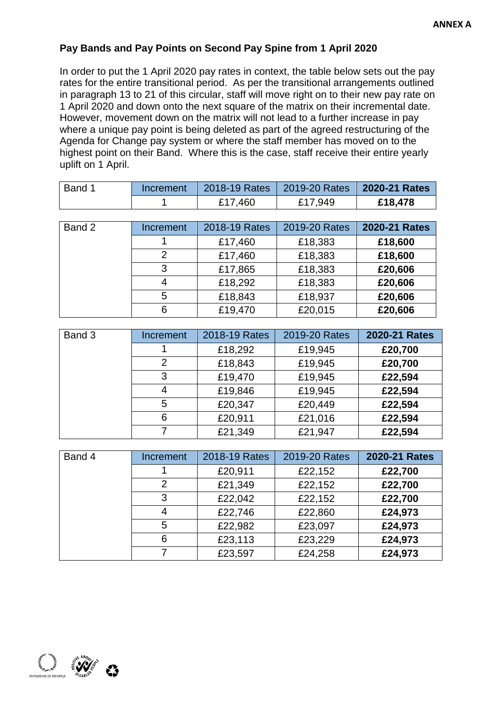## **Pay Bands and Pay Points on Second Pay Spine from 1 April 2020**

In order to put the 1 April 2020 pay rates in context, the table below sets out the pay rates for the entire transitional period. As per the transitional arrangements outlined in paragraph 13 to 21 of this circular, staff will move right on to their new pay rate on 1 April 2020 and down onto the next square of the matrix on their incremental date. However, movement down on the matrix will not lead to a further increase in pay where a unique pay point is being deleted as part of the agreed restructuring of the Agenda for Change pay system or where the staff member has moved on to the highest point on their Band. Where this is the case, staff receive their entire yearly uplift on 1 April.

| Band 1 | Increment |         | 2018-19 Rates   2019-20 Rates   2020-21 Rates |         |
|--------|-----------|---------|-----------------------------------------------|---------|
|        |           | £17,460 | £17,949                                       | £18,478 |

| Band 2 | Increment | 2018-19 Rates | 2019-20 Rates | 2020-21 Rates |
|--------|-----------|---------------|---------------|---------------|
|        |           |               |               |               |
|        |           | £17,460       | £18,383       | £18,600       |
|        | 2         | £17,460       | £18,383       | £18,600       |
|        | 3         | £17,865       | £18,383       | £20,606       |
|        | 4         | £18,292       | £18,383       | £20,606       |
|        | 5         | £18,843       | £18,937       | £20,606       |
|        | 6         | £19,470       | £20,015       | £20,606       |

| Band 3 | Increment      | 2018-19 Rates | 2019-20 Rates | 2020-21 Rates |
|--------|----------------|---------------|---------------|---------------|
|        |                | £18,292       | £19,945       | £20,700       |
|        | $\overline{2}$ | £18,843       | £19,945       | £20,700       |
|        | 3              | £19,470       | £19,945       | £22,594       |
|        | 4              | £19,846       | £19,945       | £22,594       |
|        | 5              | £20,347       | £20,449       | £22,594       |
|        | 6              | £20,911       | £21,016       | £22,594       |
|        | 7              | £21,349       | £21,947       | £22,594       |

| Band 4 | <b>Increment</b> | 2018-19 Rates | 2019-20 Rates | 2020-21 Rates |
|--------|------------------|---------------|---------------|---------------|
|        |                  | £20,911       | £22,152       | £22,700       |
|        | $\overline{2}$   | £21,349       | £22,152       | £22,700       |
|        | 3                | £22,042       | £22,152       | £22,700       |
|        | 4                | £22,746       | £22,860       | £24,973       |
|        | 5                | £22,982       | £23,097       | £24,973       |
|        | 6                | £23,113       | £23,229       | £24,973       |
|        |                  | £23,597       | £24,258       | £24,973       |

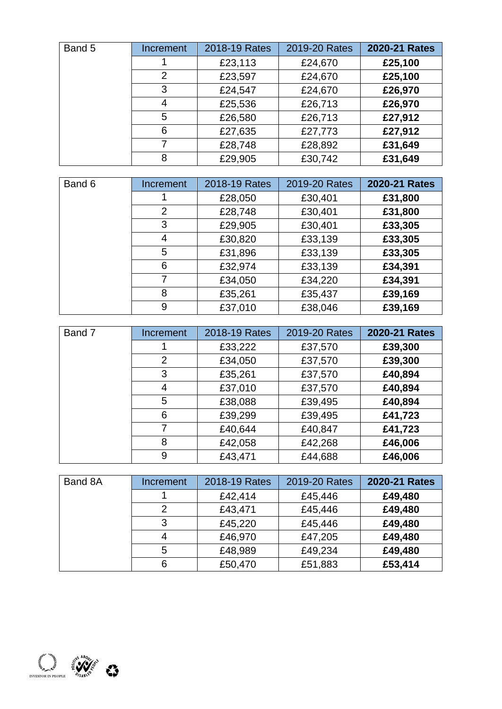| Band 5 | Increment      | 2018-19 Rates | 2019-20 Rates | 2020-21 Rates |
|--------|----------------|---------------|---------------|---------------|
|        |                | £23,113       | £24,670       | £25,100       |
|        | $\overline{2}$ | £23,597       | £24,670       | £25,100       |
|        | 3              | £24,547       | £24,670       | £26,970       |
|        | 4              | £25,536       | £26,713       | £26,970       |
|        | 5              | £26,580       | £26,713       | £27,912       |
|        | 6              | £27,635       | £27,773       | £27,912       |
|        | 7              | £28,748       | £28,892       | £31,649       |
|        | 8              | £29,905       | £30,742       | £31,649       |

| Band 6 | Increment      | 2018-19 Rates | 2019-20 Rates | 2020-21 Rates |
|--------|----------------|---------------|---------------|---------------|
|        |                | £28,050       | £30,401       | £31,800       |
|        | $\overline{2}$ | £28,748       | £30,401       | £31,800       |
|        | 3              | £29,905       | £30,401       | £33,305       |
|        | 4              | £30,820       | £33,139       | £33,305       |
|        | 5              | £31,896       | £33,139       | £33,305       |
|        | 6              | £32,974       | £33,139       | £34,391       |
|        | 7              | £34,050       | £34,220       | £34,391       |
|        | 8              | £35,261       | £35,437       | £39,169       |
|        | 9              | £37,010       | £38,046       | £39,169       |

| Band 7 | Increment | 2018-19 Rates | 2019-20 Rates | 2020-21 Rates |
|--------|-----------|---------------|---------------|---------------|
|        |           | £33,222       | £37,570       | £39,300       |
|        | 2         | £34,050       | £37,570       | £39,300       |
|        | 3         | £35,261       | £37,570       | £40,894       |
|        | 4         | £37,010       | £37,570       | £40,894       |
|        | 5         | £38,088       | £39,495       | £40,894       |
|        | 6         | £39,299       | £39,495       | £41,723       |
|        | 7         | £40,644       | £40,847       | £41,723       |
|        | 8         | £42,058       | £42,268       | £46,006       |
|        | 9         | £43,471       | £44,688       | £46,006       |

| Band 8A | Increment | 2018-19 Rates | 2019-20 Rates | 2020-21 Rates |
|---------|-----------|---------------|---------------|---------------|
|         |           | £42,414       | £45,446       | £49,480       |
|         |           | £43,471       | £45,446       | £49,480       |
|         | 3         | £45,220       | £45,446       | £49,480       |
|         |           | £46,970       | £47,205       | £49,480       |
|         | 5         | £48,989       | £49,234       | £49,480       |
|         | 6         | £50,470       | £51,883       | £53,414       |

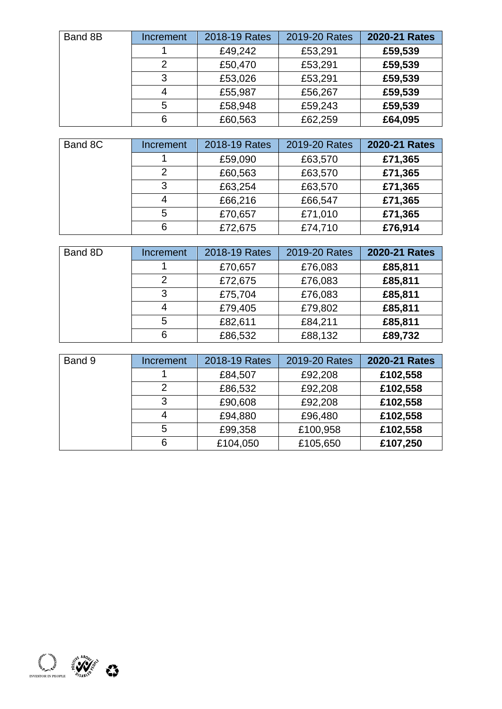| Band 8B | Increment | 2018-19 Rates | 2019-20 Rates | 2020-21 Rates |
|---------|-----------|---------------|---------------|---------------|
|         |           | £49,242       | £53,291       | £59,539       |
|         | 2         | £50,470       | £53,291       | £59,539       |
|         | 3         | £53,026       | £53,291       | £59,539       |
|         | 4         | £55,987       | £56,267       | £59,539       |
|         | 5         | £58,948       | £59,243       | £59,539       |
|         | 6         | £60,563       | £62,259       | £64,095       |

| Band 8C | Increment | 2018-19 Rates | 2019-20 Rates | 2020-21 Rates |
|---------|-----------|---------------|---------------|---------------|
|         |           | £59,090       | £63,570       | £71,365       |
|         | 2         | £60,563       | £63,570       | £71,365       |
|         | 3         | £63,254       | £63,570       | £71,365       |
|         | 4         | £66,216       | £66,547       | £71,365       |
|         | 5         | £70,657       | £71,010       | £71,365       |
|         | 6         | £72,675       | £74,710       | £76,914       |

| Band 8D | Increment | 2018-19 Rates | 2019-20 Rates | 2020-21 Rates |
|---------|-----------|---------------|---------------|---------------|
|         |           | £70,657       | £76,083       | £85,811       |
|         | 2         | £72,675       | £76,083       | £85,811       |
|         | 3         | £75,704       | £76,083       | £85,811       |
|         | 4         | £79,405       | £79,802       | £85,811       |
|         | 5         | £82,611       | £84,211       | £85,811       |
|         | 6         | £86,532       | £88,132       | £89,732       |

| Band 9 | Increment | 2018-19 Rates | 2019-20 Rates | 2020-21 Rates |
|--------|-----------|---------------|---------------|---------------|
|        |           | £84,507       | £92,208       | £102,558      |
|        | 2         | £86,532       | £92,208       | £102,558      |
|        | 3         | £90,608       | £92,208       | £102,558      |
|        | 4         | £94,880       | £96,480       | £102,558      |
|        | 5         | £99,358       | £100,958      | £102,558      |
|        | 6         | £104,050      | £105,650      | £107,250      |

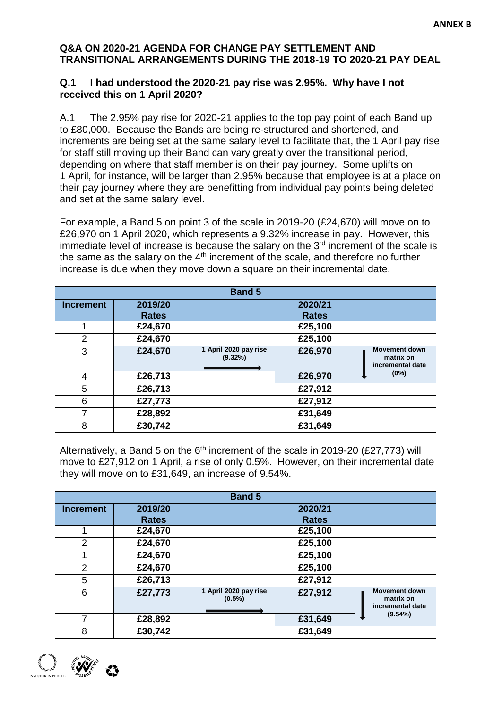#### **Q&A ON 2020-21 AGENDA FOR CHANGE PAY SETTLEMENT AND TRANSITIONAL ARRANGEMENTS DURING THE 2018-19 TO 2020-21 PAY DEAL**

#### **Q.1 I had understood the 2020-21 pay rise was 2.95%. Why have I not received this on 1 April 2020?**

A.1 The 2.95% pay rise for 2020-21 applies to the top pay point of each Band up to £80,000. Because the Bands are being re-structured and shortened, and increments are being set at the same salary level to facilitate that, the 1 April pay rise for staff still moving up their Band can vary greatly over the transitional period, depending on where that staff member is on their pay journey. Some uplifts on 1 April, for instance, will be larger than 2.95% because that employee is at a place on their pay journey where they are benefitting from individual pay points being deleted and set at the same salary level.

For example, a Band 5 on point 3 of the scale in 2019-20 (£24,670) will move on to £26,970 on 1 April 2020, which represents a 9.32% increase in pay. However, this immediate level of increase is because the salary on the  $3<sup>rd</sup>$  increment of the scale is the same as the salary on the  $4<sup>th</sup>$  increment of the scale, and therefore no further increase is due when they move down a square on their incremental date.

| <b>Band 5</b>    |              |                                  |              |                                                       |  |
|------------------|--------------|----------------------------------|--------------|-------------------------------------------------------|--|
| <b>Increment</b> | 2019/20      |                                  | 2020/21      |                                                       |  |
|                  | <b>Rates</b> |                                  | <b>Rates</b> |                                                       |  |
|                  | £24,670      |                                  | £25,100      |                                                       |  |
| 2                | £24,670      |                                  | £25,100      |                                                       |  |
| 3                | £24,670      | 1 April 2020 pay rise<br>(9.32%) | £26,970      | <b>Movement down</b><br>matrix on<br>incremental date |  |
| 4                | £26,713      |                                  | £26,970      | (0%)                                                  |  |
| 5                | £26,713      |                                  | £27,912      |                                                       |  |
| 6                | £27,773      |                                  | £27,912      |                                                       |  |
|                  | £28,892      |                                  | £31,649      |                                                       |  |
| 8                | £30,742      |                                  | £31,649      |                                                       |  |

Alternatively, a Band 5 on the  $6<sup>th</sup>$  increment of the scale in 2019-20 (£27,773) will move to £27,912 on 1 April, a rise of only 0.5%. However, on their incremental date they will move on to £31,649, an increase of 9.54%.

| <b>Band 5</b>    |              |                                    |              |                                                       |  |
|------------------|--------------|------------------------------------|--------------|-------------------------------------------------------|--|
| <b>Increment</b> | 2019/20      |                                    | 2020/21      |                                                       |  |
|                  | <b>Rates</b> |                                    | <b>Rates</b> |                                                       |  |
|                  | £24,670      |                                    | £25,100      |                                                       |  |
| 2                | £24,670      |                                    | £25,100      |                                                       |  |
|                  | £24,670      |                                    | £25,100      |                                                       |  |
| $\overline{2}$   | £24,670      |                                    | £25,100      |                                                       |  |
| 5                | £26,713      |                                    | £27,912      |                                                       |  |
| 6                | £27,773      | 1 April 2020 pay rise<br>$(0.5\%)$ | £27,912      | <b>Movement down</b><br>matrix on<br>incremental date |  |
|                  | £28,892      |                                    | £31,649      | (9.54%)                                               |  |
| 8                | £30,742      |                                    | £31,649      |                                                       |  |

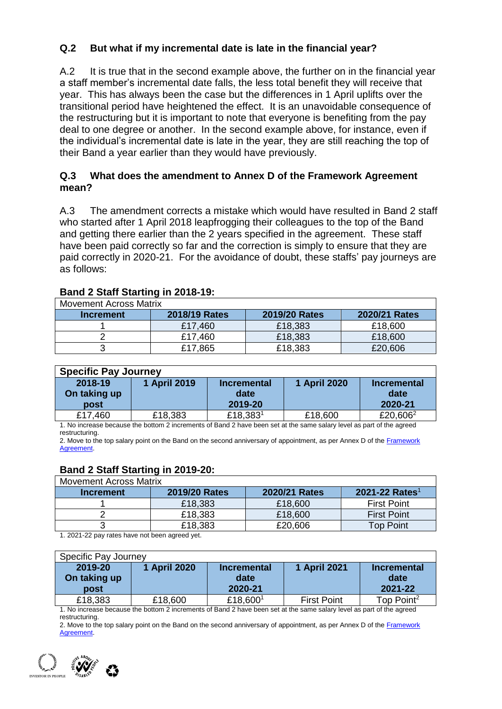## **Q.2 But what if my incremental date is late in the financial year?**

A.2 It is true that in the second example above, the further on in the financial year a staff member's incremental date falls, the less total benefit they will receive that year. This has always been the case but the differences in 1 April uplifts over the transitional period have heightened the effect. It is an unavoidable consequence of the restructuring but it is important to note that everyone is benefiting from the pay deal to one degree or another. In the second example above, for instance, even if the individual's incremental date is late in the year, they are still reaching the top of their Band a year earlier than they would have previously.

### **Q.3 What does the amendment to Annex D of the Framework Agreement mean?**

A.3 The amendment corrects a mistake which would have resulted in Band 2 staff who started after 1 April 2018 leapfrogging their colleagues to the top of the Band and getting there earlier than the 2 years specified in the agreement. These staff have been paid correctly so far and the correction is simply to ensure that they are paid correctly in 2020-21. For the avoidance of doubt, these staffs' pay journeys are as follows:

| Movement Across Matrix |               |               |               |  |  |
|------------------------|---------------|---------------|---------------|--|--|
| <b>Increment</b>       | 2018/19 Rates | 2019/20 Rates | 2020/21 Rates |  |  |
|                        | £17,460       | £18,383       | £18,600       |  |  |
|                        | £17,460       | £18,383       | £18,600       |  |  |
|                        | £17,865       | £18,383       | £20,606       |  |  |

### **Band 2 Staff Starting in 2018-19:**

| <b>Specific Pay Journey</b> |              |                      |              |                      |  |  |
|-----------------------------|--------------|----------------------|--------------|----------------------|--|--|
| 2018-19                     | 1 April 2019 | <b>Incremental</b>   | 1 April 2020 | Incremental          |  |  |
| On taking up                |              | date                 |              | date                 |  |  |
| post                        |              | 2019-20              |              | 2020-21              |  |  |
| £17,460                     | £18,383      | £18,383 <sup>1</sup> | £18,600      | £20,606 <sup>2</sup> |  |  |

1. No increase because the bottom 2 increments of Band 2 have been set at the same salary level as part of the agreed restructuring.

2. Move to the top salary point on the Band on the second anniversary of appointment, as per Annex D of the Framework **Agreement** 

## **Band 2 Staff Starting in 2019-20:**

| <b>Movement Across Matrix</b> |               |               |                            |  |  |
|-------------------------------|---------------|---------------|----------------------------|--|--|
| Increment                     | 2019/20 Rates | 2020/21 Rates | 2021-22 Rates <sup>1</sup> |  |  |
|                               | £18,383       | £18,600       | <b>First Point</b>         |  |  |
|                               | £18,383       | £18,600       | <b>First Point</b>         |  |  |
|                               | £18,383       | £20,606       | <b>Top Point</b>           |  |  |
|                               |               |               |                            |  |  |

1. 2021-22 pay rates have not been agreed yet.

| Specific Pay Journey            |              |                                       |                    |                                       |  |
|---------------------------------|--------------|---------------------------------------|--------------------|---------------------------------------|--|
| 2019-20<br>On taking up<br>post | 1 April 2020 | <b>Incremental</b><br>date<br>2020-21 | 1 April 2021       | <b>Incremental</b><br>date<br>2021-22 |  |
| £18,383                         | £18,600      | £18,6001                              | <b>First Point</b> | Top Point <sup>2</sup>                |  |

1. No increase because the bottom 2 increments of Band 2 have been set at the same salary level as part of the agreed restructuring.

2. Move to the top salary point on the Band on the second anniversary of appointment, as per Annex D of the Framework [Agreement.](https://www.stac.scot.nhs.uk/wp-content/uploads/Test.pdf)

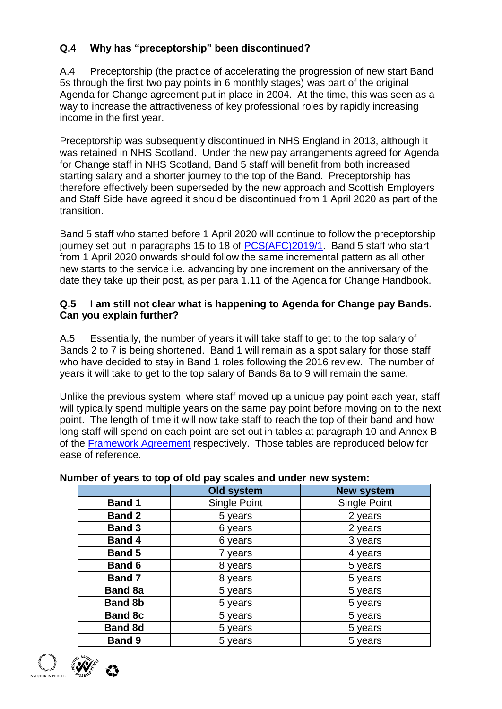# **Q.4 Why has "preceptorship" been discontinued?**

A.4 Preceptorship (the practice of accelerating the progression of new start Band 5s through the first two pay points in 6 monthly stages) was part of the original Agenda for Change agreement put in place in 2004. At the time, this was seen as a way to increase the attractiveness of key professional roles by rapidly increasing income in the first year.

Preceptorship was subsequently discontinued in NHS England in 2013, although it was retained in NHS Scotland. Under the new pay arrangements agreed for Agenda for Change staff in NHS Scotland, Band 5 staff will benefit from both increased starting salary and a shorter journey to the top of the Band. Preceptorship has therefore effectively been superseded by the new approach and Scottish Employers and Staff Side have agreed it should be discontinued from 1 April 2020 as part of the transition.

Band 5 staff who started before 1 April 2020 will continue to follow the preceptorship journey set out in paragraphs 15 to 18 of [PCS\(AFC\)2019/1.](https://www.sehd.scot.nhs.uk/pcs/PCS2019(AFC)01.pdf) Band 5 staff who start from 1 April 2020 onwards should follow the same incremental pattern as all other new starts to the service i.e. advancing by one increment on the anniversary of the date they take up their post, as per para 1.11 of the Agenda for Change Handbook.

### **Q.5 I am still not clear what is happening to Agenda for Change pay Bands. Can you explain further?**

A.5 Essentially, the number of years it will take staff to get to the top salary of Bands 2 to 7 is being shortened. Band 1 will remain as a spot salary for those staff who have decided to stay in Band 1 roles following the 2016 review. The number of years it will take to get to the top salary of Bands 8a to 9 will remain the same.

Unlike the previous system, where staff moved up a unique pay point each year, staff will typically spend multiple years on the same pay point before moving on to the next point. The length of time it will now take staff to reach the top of their band and how long staff will spend on each point are set out in tables at paragraph 10 and Annex B of the [Framework Agreement](https://www.stac.scot.nhs.uk/wp-content/uploads/Test.pdf) respectively. Those tables are reproduced below for ease of reference.

|                | Old system   | <b>New system</b>   |
|----------------|--------------|---------------------|
| <b>Band 1</b>  | Single Point | <b>Single Point</b> |
| <b>Band 2</b>  | 5 years      | 2 years             |
| <b>Band 3</b>  | 6 years      | 2 years             |
| <b>Band 4</b>  | 6 years      | 3 years             |
| <b>Band 5</b>  | 7 years      | 4 years             |
| <b>Band 6</b>  | 8 years      | 5 years             |
| <b>Band 7</b>  | 8 years      | 5 years             |
| <b>Band 8a</b> | 5 years      | 5 years             |
| <b>Band 8b</b> | 5 years      | 5 years             |
| <b>Band 8c</b> | 5 years      | 5 years             |
| <b>Band 8d</b> | 5 years      | 5 years             |
| <b>Band 9</b>  | 5 years      | 5 years             |

## **Number of years to top of old pay scales and under new system:**

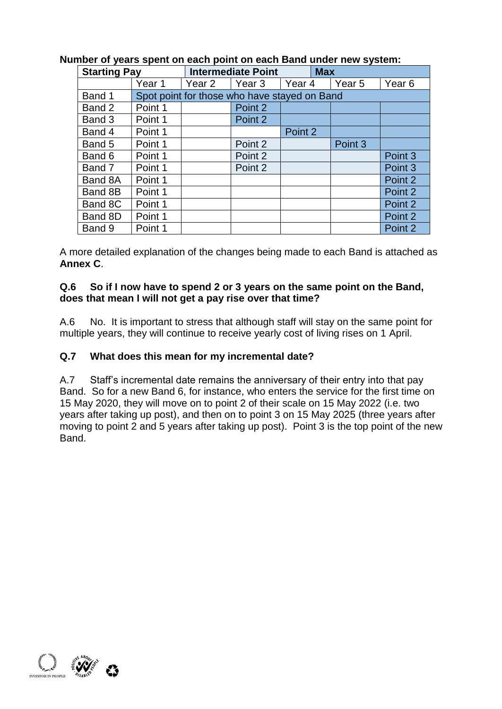| <b>Starting Pay</b> |         | <b>Intermediate Point</b> |                                              | <b>Max</b>        |  |         |                   |
|---------------------|---------|---------------------------|----------------------------------------------|-------------------|--|---------|-------------------|
|                     | Year 1  | Year 2                    | Year 3                                       | Year <sub>4</sub> |  | Year 5  | Year <sub>6</sub> |
| Band 1              |         |                           | Spot point for those who have stayed on Band |                   |  |         |                   |
| Band 2              | Point 1 |                           | Point 2                                      |                   |  |         |                   |
| Band 3              | Point 1 |                           | Point 2                                      |                   |  |         |                   |
| Band 4              | Point 1 |                           |                                              | Point 2           |  |         |                   |
| Band 5              | Point 1 |                           | Point 2                                      |                   |  | Point 3 |                   |
| Band 6              | Point 1 |                           | Point 2                                      |                   |  |         | Point 3           |
| Band 7              | Point 1 |                           | Point 2                                      |                   |  |         | Point 3           |
| Band 8A             | Point 1 |                           |                                              |                   |  |         | Point 2           |
| Band 8B             | Point 1 |                           |                                              |                   |  |         | Point 2           |
| Band 8C             | Point 1 |                           |                                              |                   |  |         | Point 2           |
| Band 8D             | Point 1 |                           |                                              |                   |  |         | Point 2           |
| Band 9              | Point 1 |                           |                                              |                   |  |         | Point 2           |

# **Number of years spent on each point on each Band under new system:**

A more detailed explanation of the changes being made to each Band is attached as **Annex C**.

### **Q.6 So if I now have to spend 2 or 3 years on the same point on the Band, does that mean I will not get a pay rise over that time?**

A.6 No. It is important to stress that although staff will stay on the same point for multiple years, they will continue to receive yearly cost of living rises on 1 April.

## **Q.7 What does this mean for my incremental date?**

A.7 Staff's incremental date remains the anniversary of their entry into that pay Band. So for a new Band 6, for instance, who enters the service for the first time on 15 May 2020, they will move on to point 2 of their scale on 15 May 2022 (i.e. two years after taking up post), and then on to point 3 on 15 May 2025 (three years after moving to point 2 and 5 years after taking up post). Point 3 is the top point of the new Band.

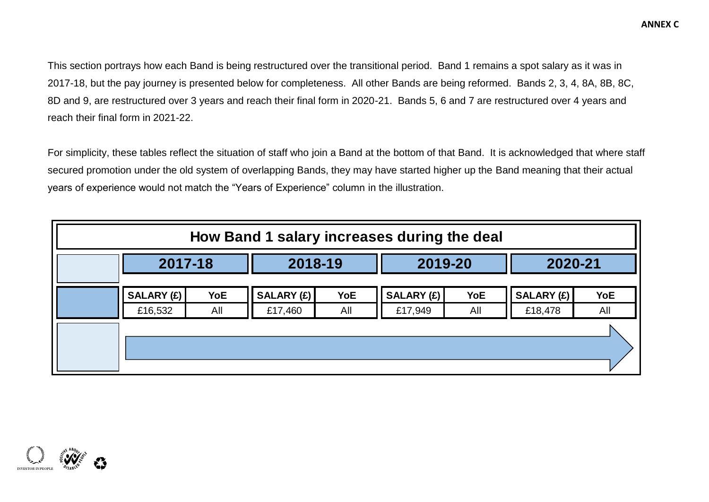This section portrays how each Band is being restructured over the transitional period. Band 1 remains a spot salary as it was in 2017-18, but the pay journey is presented below for completeness. All other Bands are being reformed. Bands 2, 3, 4, 8A, 8B, 8C, 8D and 9, are restructured over 3 years and reach their final form in 2020-21. Bands 5, 6 and 7 are restructured over 4 years and reach their final form in 2021-22.

For simplicity, these tables reflect the situation of staff who join a Band at the bottom of that Band. It is acknowledged that where staff secured promotion under the old system of overlapping Bands, they may have started higher up the Band meaning that their actual years of experience would not match the "Years of Experience" column in the illustration.

| How Band 1 salary increases during the deal |                       |                   |                       |            |                              |                   |                              |                   |  |  |  |  |
|---------------------------------------------|-----------------------|-------------------|-----------------------|------------|------------------------------|-------------------|------------------------------|-------------------|--|--|--|--|
|                                             | 2017-18               |                   |                       | 2018-19    |                              | 2019-20           |                              | 2020-21           |  |  |  |  |
|                                             | SALARY (£)<br>£16,532 | <b>YoE</b><br>All | SALARY (£)<br>£17,460 | YoE<br>All | <b>SALARY (£)</b><br>£17,949 | <b>YoE</b><br>All | <b>SALARY (£)</b><br>£18,478 | <b>YoE</b><br>All |  |  |  |  |
|                                             |                       |                   |                       |            |                              |                   |                              |                   |  |  |  |  |
|                                             |                       |                   |                       |            |                              |                   |                              |                   |  |  |  |  |

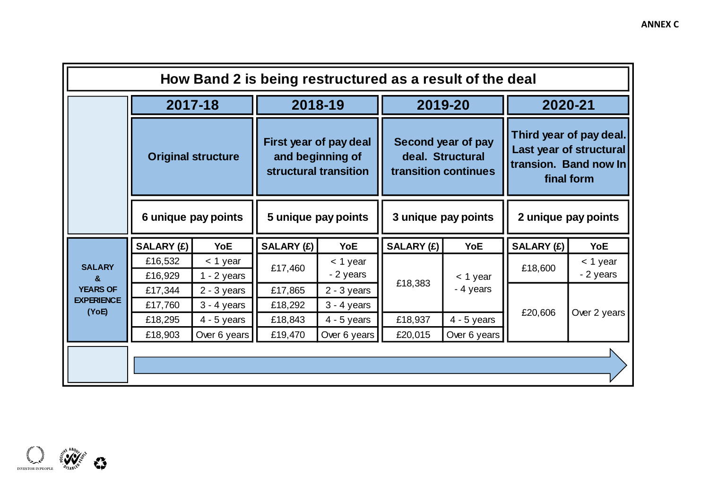|                            |                                                  | How Band 2 is being restructured as a result of the deal |                     |                                                                     |                   |                                                                |                     |                                                                                           |
|----------------------------|--------------------------------------------------|----------------------------------------------------------|---------------------|---------------------------------------------------------------------|-------------------|----------------------------------------------------------------|---------------------|-------------------------------------------------------------------------------------------|
|                            |                                                  | 2017-18                                                  |                     | 2018-19                                                             |                   | 2019-20                                                        | 2020-21             |                                                                                           |
|                            | <b>Original structure</b><br>6 unique pay points |                                                          |                     | First year of pay deal<br>and beginning of<br>structural transition |                   | Second year of pay<br>deal. Structural<br>transition continues |                     | Third year of pay deal.<br>Last year of structural<br>transion. Band now In<br>final form |
|                            |                                                  |                                                          | 5 unique pay points |                                                                     |                   | 3 unique pay points                                            | 2 unique pay points |                                                                                           |
|                            | <b>SALARY (£)</b>                                | <b>YoE</b>                                               | <b>SALARY (£)</b>   | <b>YoE</b>                                                          | <b>SALARY (£)</b> | <b>YoE</b>                                                     | <b>SALARY (£)</b>   | <b>YoE</b>                                                                                |
| <b>SALARY</b><br>&         | £16,532<br>£16,929                               | $<$ 1 year<br>$1 - 2$ years                              | £17,460             | $<$ 1 year<br>- 2 years                                             |                   | $<$ 1 year                                                     | £18,600             | < 1 year<br>- 2 years                                                                     |
| <b>YEARS OF</b>            | £17,344                                          | $2 - 3$ years                                            | £17,865             | $2 - 3$ years                                                       | £18,383           | - 4 years                                                      |                     |                                                                                           |
| <b>EXPERIENCE</b><br>(YoE) | £17,760                                          | $3 - 4$ years                                            | £18,292             | $3 - 4$ years                                                       |                   |                                                                | £20,606             | Over 2 years                                                                              |
|                            | £18,295                                          | $4 - 5$ years                                            | £18,843             | $4 - 5$ years                                                       | £18,937           | $4 - 5$ years                                                  |                     |                                                                                           |
|                            | £18,903                                          | Over 6 years                                             | £19,470             | Over 6 years                                                        | £20,015           | Over 6 years                                                   |                     |                                                                                           |
|                            |                                                  |                                                          |                     |                                                                     |                   |                                                                |                     |                                                                                           |

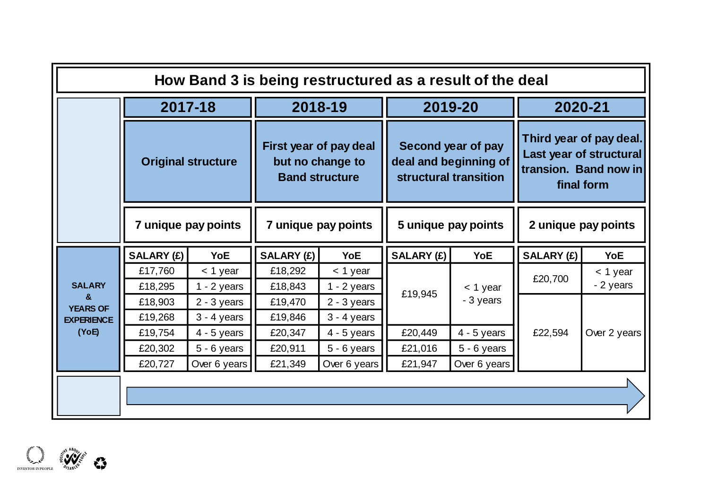|                       |                           | How Band 3 is being restructured as a result of the deal |                     |                                                                     |                     |                                                                      |                                                                                           |              |
|-----------------------|---------------------------|----------------------------------------------------------|---------------------|---------------------------------------------------------------------|---------------------|----------------------------------------------------------------------|-------------------------------------------------------------------------------------------|--------------|
|                       |                           | 2017-18                                                  |                     | 2018-19                                                             |                     | 2019-20                                                              | 2020-21                                                                                   |              |
|                       | <b>Original structure</b> |                                                          |                     | First year of pay deal<br>but no change to<br><b>Band structure</b> |                     | Second year of pay<br>deal and beginning of<br>structural transition | Third year of pay deal.<br>Last year of structural<br>transion. Band now in<br>final form |              |
|                       | 7 unique pay points       |                                                          | 7 unique pay points |                                                                     | 5 unique pay points |                                                                      | 2 unique pay points                                                                       |              |
|                       | <b>SALARY (£)</b>         | <b>YoE</b>                                               | SALARY (£)          | <b>YoE</b>                                                          | SALARY (£)          | <b>YoE</b>                                                           | <b>SALARY (£)</b>                                                                         | <b>YoE</b>   |
|                       | £17,760                   | $<$ 1 year                                               | £18,292             | $<$ 1 year                                                          |                     |                                                                      | £20,700                                                                                   | $<$ 1 year   |
| <b>SALARY</b>         | £18,295                   | $1 - 2$ years                                            | £18,843             | $1 - 2$ years                                                       | £19,945             | $<$ 1 year                                                           |                                                                                           | - 2 years    |
| æ.<br><b>YEARS OF</b> | £18,903                   | $2 - 3$ years                                            | £19,470             | $2 - 3$ years                                                       |                     | - 3 years                                                            |                                                                                           |              |
| <b>EXPERIENCE</b>     | £19,268                   | $3 - 4$ years                                            | £19,846             | $3 - 4$ years                                                       |                     |                                                                      |                                                                                           |              |
| (YoE)                 | £19,754                   | $4 - 5$ years                                            | £20,347             | $4 - 5$ years                                                       | £20,449             | $4 - 5$ years                                                        | £22,594                                                                                   | Over 2 years |
|                       | £20,302                   | $5 - 6$ years                                            | £20,911             | $5 - 6$ years                                                       | £21,016             | $5 - 6$ years                                                        |                                                                                           |              |
|                       | £20,727                   | Over 6 years                                             | £21,349             | Over 6 years                                                        | £21,947             | Over 6 years                                                         |                                                                                           |              |
|                       |                           |                                                          |                     |                                                                     |                     |                                                                      |                                                                                           |              |

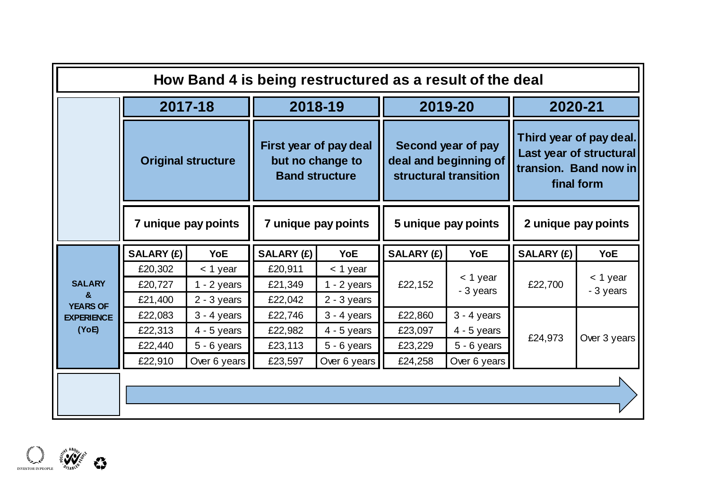|                                      |                               |                                              |                               |                                                                     |                     | How Band 4 is being restructured as a result of the deal             |                     |                                                                                           |
|--------------------------------------|-------------------------------|----------------------------------------------|-------------------------------|---------------------------------------------------------------------|---------------------|----------------------------------------------------------------------|---------------------|-------------------------------------------------------------------------------------------|
|                                      |                               | 2017-18                                      |                               | 2018-19                                                             |                     | 2019-20                                                              |                     | 2020-21                                                                                   |
|                                      | <b>Original structure</b>     |                                              |                               | First year of pay deal<br>but no change to<br><b>Band structure</b> |                     | Second year of pay<br>deal and beginning of<br>structural transition |                     | Third year of pay deal.<br>Last year of structural<br>transion. Band now in<br>final form |
|                                      |                               | 7 unique pay points                          | 7 unique pay points           |                                                                     | 5 unique pay points |                                                                      | 2 unique pay points |                                                                                           |
|                                      | SALARY (£)                    | YoE                                          | SALARY (£)                    | <b>YoE</b>                                                          | <b>SALARY (£)</b>   | <b>YoE</b>                                                           | <b>SALARY (£)</b>   | <b>YoE</b>                                                                                |
| <b>SALARY</b><br>&                   | £20,302<br>£20,727<br>£21,400 | $<$ 1 year<br>$1 - 2$ years<br>$2 - 3$ years | £20,911<br>£21,349<br>£22,042 | $<$ 1 year<br>$1 - 2$ years<br>$2 - 3$ years                        | £22,152             | $<$ 1 year<br>- 3 years                                              | £22,700             | $<$ 1 year<br>- 3 years                                                                   |
| <b>YEARS OF</b><br><b>EXPERIENCE</b> | £22,083                       | $3 - 4$ years                                | £22,746                       | $3 - 4$ years                                                       | £22,860             | $3 - 4$ years                                                        |                     |                                                                                           |
| (YoE)                                | £22,313                       | $4 - 5$ years                                | £22,982                       | $4 - 5$ years                                                       | £23,097             | $4 - 5$ years                                                        | £24,973             | Over 3 years                                                                              |
|                                      | £22,440                       | $5 - 6$ years                                | £23,113                       | $5 - 6$ years                                                       | £23,229             | $5 - 6$ years                                                        |                     |                                                                                           |
|                                      | £22,910                       | Over 6 years                                 | £23,597                       | Over 6 years                                                        | £24,258             | Over 6 years                                                         |                     |                                                                                           |
|                                      |                               |                                              |                               |                                                                     |                     |                                                                      |                     |                                                                                           |
|                                      |                               |                                              |                               |                                                                     |                     |                                                                      |                     |                                                                                           |

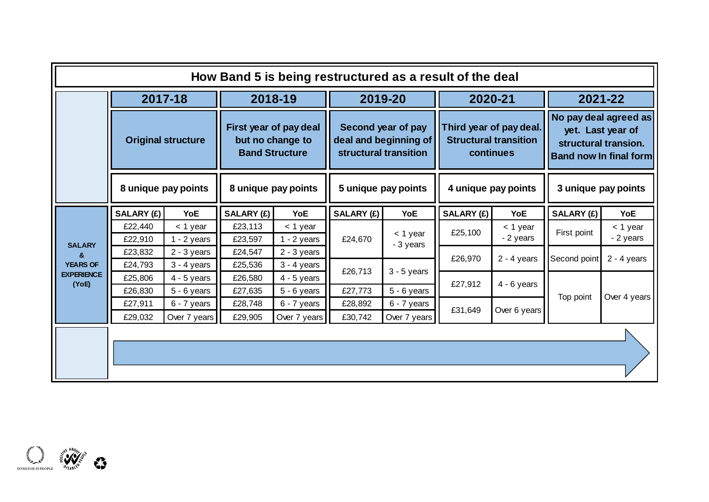|                            |                           | 2017-18                     |                    | 2018-19                                                             | 2019-20            |                                                                      | 2020-21                                                              |                         |                                                                                                     | 2021-22               |
|----------------------------|---------------------------|-----------------------------|--------------------|---------------------------------------------------------------------|--------------------|----------------------------------------------------------------------|----------------------------------------------------------------------|-------------------------|-----------------------------------------------------------------------------------------------------|-----------------------|
|                            | <b>Original structure</b> |                             |                    | First year of pay deal<br>but no change to<br><b>Band Structure</b> |                    | Second year of pay<br>deal and beginning of<br>structural transition | Third year of pay deal.<br><b>Structural transition</b><br>continues |                         | No pay deal agreed as<br>yet. Last year of<br>structural transion.<br><b>Band now In final form</b> |                       |
|                            |                           | 8 unique pay points         |                    | 8 unique pay points                                                 |                    | 5 unique pay points                                                  |                                                                      | 4 unique pay points     |                                                                                                     | 3 unique pay points   |
|                            | <b>SALARY (£)</b>         | YoE                         | SALARY (£)         | YoE                                                                 | <b>SALARY (£)</b>  | YoE                                                                  | SALARY (£)                                                           | YoE                     | <b>SALARY (£)</b>                                                                                   | <b>YoE</b>            |
|                            | £22,440<br>£22,910        | $<$ 1 year<br>$1 - 2$ years | £23,113<br>£23,597 | $<$ 1 year<br>$1 - 2$ years                                         | £24,670            | < 1 year                                                             | £25,100                                                              | $<$ 1 year<br>- 2 years | First point                                                                                         | < 1 year<br>- 2 years |
| <b>SALARY</b><br>ጼ         | £23,832                   | $2 - 3$ years               | £24,547            | $2 - 3$ years                                                       |                    | - 3 years                                                            |                                                                      |                         |                                                                                                     |                       |
| <b>YEARS OF</b>            | £24,793                   | $3 - 4$ years               | £25,536            | $3 - 4$ years                                                       |                    |                                                                      | £26,970                                                              | $2 - 4$ years           | Second point                                                                                        | $2 - 4$ years         |
| <b>EXPERIENCE</b><br>(YoE) | £25,806                   | $4 - 5$ years               | £26,580            | $4 - 5$ years                                                       | £26,713            | $3 - 5$ years                                                        | £27,912                                                              | $4 - 6$ years           |                                                                                                     |                       |
|                            | £26,830                   | $5 - 6$ years               | £27,635            | $5 - 6$ years                                                       | £27,773            | $5 - 6$ years                                                        |                                                                      |                         | Top point                                                                                           | Over 4 years          |
|                            | £27,911<br>£29,032        | 6 - 7 years<br>Over 7 years | £28,748<br>£29,905 | 6 - 7 years<br>Over 7 years                                         | £28,892<br>£30,742 | 6 - 7 years<br>Over 7 years                                          | £31,649                                                              | Over 6 years            |                                                                                                     |                       |
|                            |                           |                             |                    |                                                                     |                    |                                                                      |                                                                      |                         |                                                                                                     |                       |
|                            |                           |                             |                    |                                                                     |                    |                                                                      |                                                                      |                         |                                                                                                     |                       |
|                            |                           |                             |                    |                                                                     |                    |                                                                      |                                                                      |                         |                                                                                                     |                       |

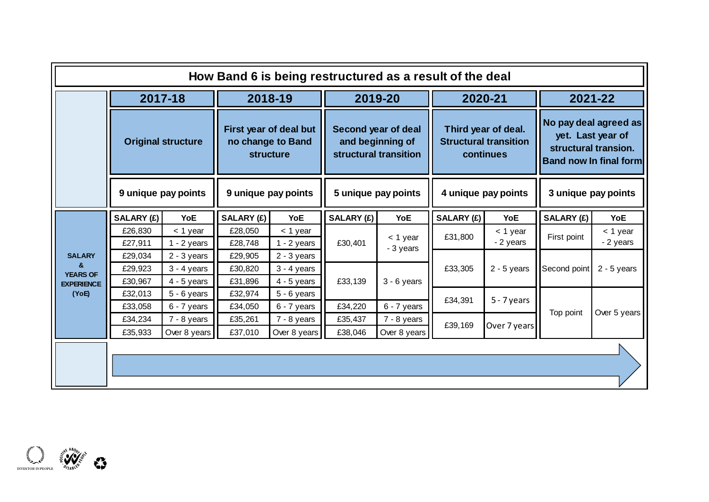|                    |                    |                             | How Band 6 is being restructured as a result of the deal |                                                          |                    |                                                                  |                   |                                                                  |                                                                                                     |                     |
|--------------------|--------------------|-----------------------------|----------------------------------------------------------|----------------------------------------------------------|--------------------|------------------------------------------------------------------|-------------------|------------------------------------------------------------------|-----------------------------------------------------------------------------------------------------|---------------------|
|                    |                    | 2017-18                     |                                                          | 2018-19                                                  |                    | 2019-20                                                          | 2020-21           |                                                                  |                                                                                                     | 2021-22             |
|                    |                    | <b>Original structure</b>   |                                                          | First year of deal but<br>no change to Band<br>structure |                    | Second year of deal<br>and beginning of<br>structural transition |                   | Third year of deal.<br><b>Structural transition</b><br>continues | No pay deal agreed as<br>yet. Last year of<br>structural transion.<br><b>Band now In final form</b> |                     |
|                    |                    | 9 unique pay points         |                                                          | 9 unique pay points                                      |                    | 5 unique pay points                                              |                   | 4 unique pay points                                              |                                                                                                     | 3 unique pay points |
|                    | SALARY (£)         | YoE                         | SALARY (£)                                               | YoE                                                      | <b>SALARY (£)</b>  | YoE                                                              | <b>SALARY (£)</b> | YoE                                                              | SALARY (£)                                                                                          | YoE                 |
|                    | £26,830            | $<$ 1 year                  | £28,050                                                  | < 1 year                                                 |                    | < 1 year                                                         | £31,800           | $<$ 1 year                                                       | First point                                                                                         | $<$ 1 year          |
|                    | £27,911            | $1 - 2$ years               | £28,748                                                  | $1 - 2$ years                                            | £30,401            | - 3 years                                                        |                   | - 2 years                                                        |                                                                                                     | - 2 years           |
| <b>SALARY</b><br>& | £29,034            | $2 - 3$ years               | £29,905                                                  | $2 - 3$ years                                            |                    |                                                                  |                   |                                                                  |                                                                                                     |                     |
| <b>YEARS OF</b>    | £29,923            | $3 - 4$ years               | £30,820                                                  | $3 - 4$ years                                            |                    |                                                                  | £33,305           | $2 - 5$ years                                                    | Second point                                                                                        | $2 - 5$ years       |
| <b>EXPERIENCE</b>  | £30,967            | $4 - 5$ years               | £31,896                                                  | $4 - 5$ years                                            | £33,139            | $3 - 6$ years                                                    |                   |                                                                  |                                                                                                     |                     |
| (YoE)              | £32,013            | $5 - 6$ years               | £32,974                                                  | $5 - 6$ years                                            |                    |                                                                  | £34,391           | $5 - 7$ years                                                    |                                                                                                     |                     |
|                    | £33,058<br>£34,234 | $6 - 7$ years               | £34,050<br>£35,261                                       | 6 - 7 years<br>$7 - 8$ years                             | £34,220<br>£35,437 | 6 - 7 years                                                      |                   |                                                                  | Top point                                                                                           | Over 5 years        |
|                    | £35,933            | 7 - 8 years<br>Over 8 years | £37,010                                                  | Over 8 years                                             | £38,046            | 7 - 8 years<br>Over 8 years                                      | £39,169           | Over 7 years                                                     |                                                                                                     |                     |
|                    |                    |                             |                                                          |                                                          |                    |                                                                  |                   |                                                                  |                                                                                                     |                     |
|                    |                    |                             |                                                          |                                                          |                    |                                                                  |                   |                                                                  |                                                                                                     |                     |
|                    |                    |                             |                                                          |                                                          |                    |                                                                  |                   |                                                                  |                                                                                                     |                     |

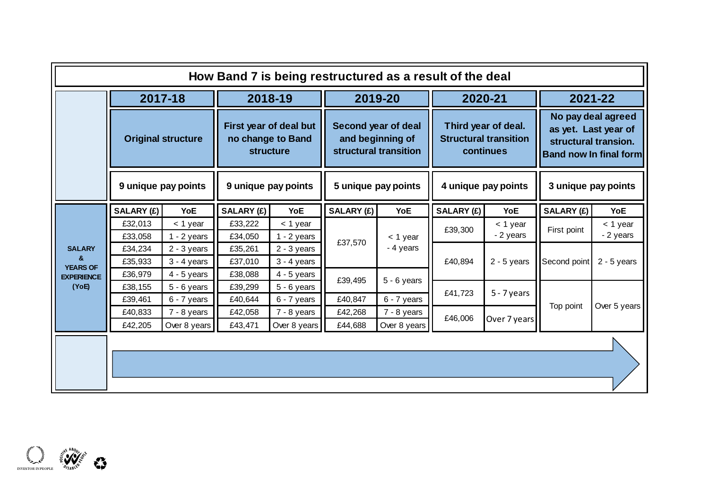|                                  |                           |                                |                    |                                                                 | How Band 7 is being restructured as a result of the deal |                                                                  |            |                                                                  |                                                                                                     |                       |  |
|----------------------------------|---------------------------|--------------------------------|--------------------|-----------------------------------------------------------------|----------------------------------------------------------|------------------------------------------------------------------|------------|------------------------------------------------------------------|-----------------------------------------------------------------------------------------------------|-----------------------|--|
|                                  |                           | 2017-18                        |                    | 2018-19                                                         |                                                          | 2019-20                                                          |            | 2020-21                                                          |                                                                                                     | 2021-22               |  |
|                                  | <b>Original structure</b> |                                |                    | First year of deal but<br>no change to Band<br><b>structure</b> |                                                          | Second year of deal<br>and beginning of<br>structural transition |            | Third year of deal.<br><b>Structural transition</b><br>continues | No pay deal agreed<br>as yet. Last year of<br>structural transion.<br><b>Band now In final form</b> |                       |  |
|                                  |                           | 9 unique pay points            |                    | 9 unique pay points<br>5 unique pay points                      |                                                          |                                                                  |            | 4 unique pay points                                              | 3 unique pay points                                                                                 |                       |  |
|                                  | SALARY (£)                | YoE                            | SALARY (£)         | <b>YoE</b>                                                      | SALARY (£)                                               | YoE                                                              | SALARY (£) | YoE                                                              | SALARY (£)                                                                                          | <b>YoE</b>            |  |
|                                  | £32,013<br>£33,058        | $<$ 1 year<br>$1 - 2$ years    | £33,222<br>£34,050 | $<$ 1 year<br>$1 - 2$ years                                     | £37,570                                                  | $<$ 1 year<br>- 4 years                                          | £39,300    | < 1 year<br>- 2 years                                            | First point                                                                                         | < 1 year<br>- 2 years |  |
| <b>SALARY</b><br><b>YEARS OF</b> | £34,234<br>£35,933        | $2 - 3$ years<br>$3 - 4$ years | £35,261<br>£37,010 | $2 - 3$ years<br>$3 - 4$ years                                  |                                                          |                                                                  | £40,894    | $2 - 5$ years                                                    | Second point                                                                                        | $2 - 5$ years         |  |
| <b>EXPERIENCE</b><br>(YoE)       | £36,979<br>£38,155        | $4 - 5$ years<br>$5 - 6$ years | £38,088<br>£39,299 | $4 - 5$ years<br>$5 - 6$ years                                  | £39,495                                                  | $5 - 6$ years                                                    |            |                                                                  |                                                                                                     |                       |  |
|                                  | £39,461                   | 6 - 7 years                    | £40,644            | $6 - 7$ years                                                   | £40,847                                                  | 6 - 7 years                                                      | £41,723    | $5 - 7$ years                                                    |                                                                                                     |                       |  |
|                                  | £40,833                   | 7 - 8 years                    | £42,058            | $7 - 8$ years                                                   | £42,268                                                  | $7 - 8$ years                                                    | £46,006    | Over 7 years                                                     | Top point                                                                                           | Over 5 years          |  |
|                                  | £42,205                   | Over 8 years                   | £43,471            | Over 8 years                                                    | £44,688                                                  | Over 8 years                                                     |            |                                                                  |                                                                                                     |                       |  |
|                                  |                           |                                |                    |                                                                 |                                                          |                                                                  |            |                                                                  |                                                                                                     |                       |  |
|                                  |                           |                                |                    |                                                                 |                                                          |                                                                  |            |                                                                  |                                                                                                     |                       |  |
|                                  |                           |                                |                    |                                                                 |                                                          |                                                                  |            |                                                                  |                                                                                                     |                       |  |

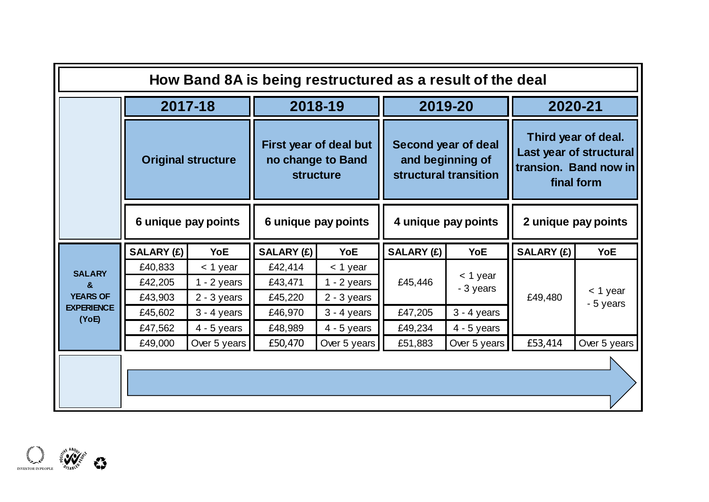|                            |                           | How Band 8A is being restructured as a result of the deal |                     |                                                                 |                     |                                                                  |                                                                                       |              |  |
|----------------------------|---------------------------|-----------------------------------------------------------|---------------------|-----------------------------------------------------------------|---------------------|------------------------------------------------------------------|---------------------------------------------------------------------------------------|--------------|--|
|                            |                           | 2017-18                                                   |                     | 2018-19                                                         |                     | 2019-20                                                          | 2020-21                                                                               |              |  |
|                            | <b>Original structure</b> |                                                           |                     | First year of deal but<br>no change to Band<br><b>structure</b> |                     | Second year of deal<br>and beginning of<br>structural transition | Third year of deal.<br>Last year of structural<br>transion. Band now in<br>final form |              |  |
|                            |                           | 6 unique pay points                                       | 6 unique pay points |                                                                 | 4 unique pay points |                                                                  | 2 unique pay points                                                                   |              |  |
|                            | SALARY (£)                | <b>YoE</b>                                                | <b>SALARY (£)</b>   | <b>YoE</b>                                                      | <b>SALARY (£)</b>   | <b>YoE</b>                                                       | <b>SALARY (£)</b>                                                                     | <b>YoE</b>   |  |
| <b>SALARY</b>              | £40,833                   | $<$ 1 year                                                | £42,414             | $<$ 1 year                                                      |                     | $<$ 1 year                                                       |                                                                                       |              |  |
| $\mathbf{a}$               | £42,205                   | $1 - 2$ years                                             | £43,471             | $1 - 2$ years                                                   | £45,446             | - 3 years                                                        |                                                                                       | $<$ 1 year   |  |
| <b>YEARS OF</b>            | £43,903                   | $2 - 3$ years                                             | £45,220             | $2 - 3$ years                                                   |                     |                                                                  | £49,480                                                                               | - 5 years    |  |
| <b>EXPERIENCE</b><br>(YoE) | £45,602                   | $3 - 4$ years                                             | £46,970             | $3 - 4$ years                                                   | £47,205             | $3 - 4$ years                                                    |                                                                                       |              |  |
|                            | £47,562                   | $4 - 5$ years                                             | £48,989             | $4 - 5$ years                                                   | £49,234             | $4 - 5$ years                                                    |                                                                                       |              |  |
|                            | £49,000                   | Over 5 years                                              | £50,470             | Over 5 years                                                    | £51,883             | Over 5 years                                                     | £53,414                                                                               | Over 5 years |  |
|                            |                           |                                                           |                     |                                                                 |                     |                                                                  |                                                                                       |              |  |

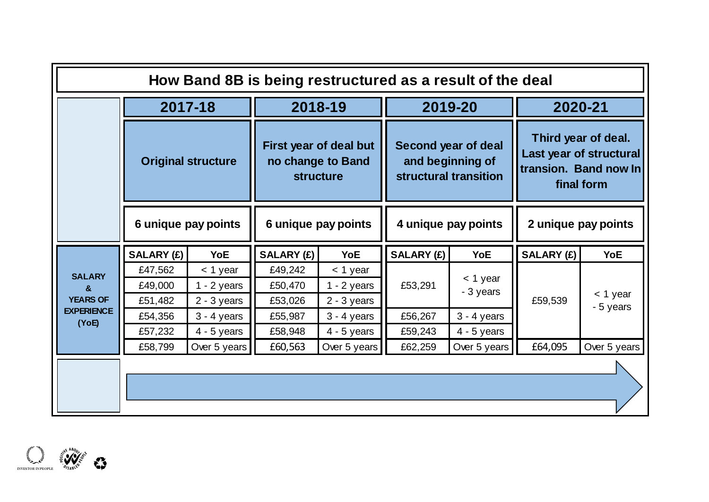|                            |                           | How Band 8B is being restructured as a result of the deal |                     |                                                                 |                   |                                                                  |                                                                                       |              |  |
|----------------------------|---------------------------|-----------------------------------------------------------|---------------------|-----------------------------------------------------------------|-------------------|------------------------------------------------------------------|---------------------------------------------------------------------------------------|--------------|--|
|                            |                           | 2017-18                                                   |                     | 2018-19                                                         |                   | 2019-20                                                          |                                                                                       | 2020-21      |  |
|                            | <b>Original structure</b> |                                                           |                     | First year of deal but<br>no change to Band<br><b>structure</b> |                   | Second year of deal<br>and beginning of<br>structural transition | Third year of deal.<br>Last year of structural<br>transion. Band now In<br>final form |              |  |
|                            |                           | 6 unique pay points                                       | 6 unique pay points |                                                                 |                   | 4 unique pay points                                              | 2 unique pay points                                                                   |              |  |
|                            | SALARY (£)                | <b>YoE</b>                                                | <b>SALARY (£)</b>   | <b>YoE</b>                                                      | <b>SALARY (£)</b> | <b>YoE</b>                                                       | <b>SALARY (£)</b>                                                                     | <b>YoE</b>   |  |
| <b>SALARY</b>              | £47,562                   | $<$ 1 year                                                | £49,242             | $<$ 1 year                                                      |                   |                                                                  |                                                                                       |              |  |
| $\mathbf{a}$               | £49,000                   | $1 - 2$ years                                             | £50,470             | $1 - 2$ years                                                   | £53,291           | $<$ 1 year<br>- 3 years                                          |                                                                                       | $<$ 1 year   |  |
| <b>YEARS OF</b>            | £51,482                   | $2 - 3$ years                                             | £53,026             | $2 - 3$ years                                                   |                   |                                                                  | £59,539                                                                               | - 5 years    |  |
| <b>EXPERIENCE</b><br>(YoE) | £54,356                   | $3 - 4$ years                                             | £55,987             | $3 - 4$ years                                                   | £56,267           | $3 - 4$ years                                                    |                                                                                       |              |  |
|                            | £57,232                   | $4 - 5$ years                                             | £58,948             | $4 - 5$ years                                                   | £59,243           | $4 - 5$ years                                                    |                                                                                       |              |  |
|                            | £58,799                   | Over 5 years                                              | £60,563             | Over 5 years                                                    | £62,259           | Over 5 years                                                     | £64,095                                                                               | Over 5 years |  |
|                            |                           |                                                           |                     |                                                                 |                   |                                                                  |                                                                                       |              |  |

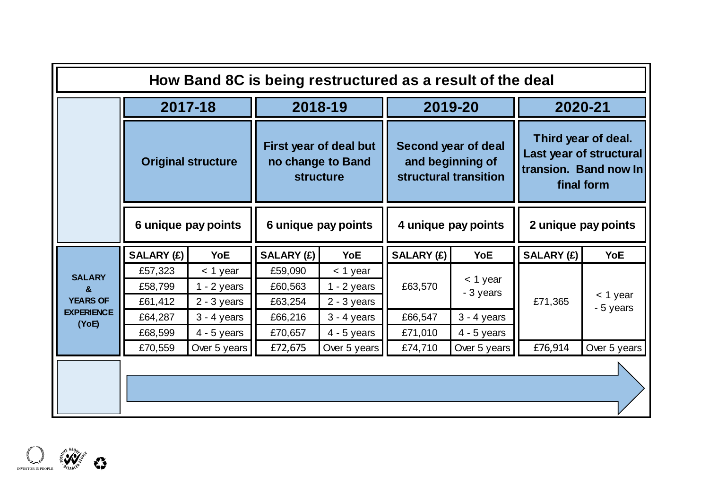|                                       |                               | How Band 8C is being restructured as a result of the deal |                               |                                                                 |                     |                                                                  |                                                                                       |              |
|---------------------------------------|-------------------------------|-----------------------------------------------------------|-------------------------------|-----------------------------------------------------------------|---------------------|------------------------------------------------------------------|---------------------------------------------------------------------------------------|--------------|
|                                       |                               | 2017-18                                                   |                               | 2018-19                                                         |                     | 2019-20                                                          |                                                                                       | 2020-21      |
|                                       | <b>Original structure</b>     |                                                           |                               | First year of deal but<br>no change to Band<br><b>structure</b> |                     | Second year of deal<br>and beginning of<br>structural transition | Third year of deal.<br>Last year of structural<br>transion. Band now In<br>final form |              |
|                                       |                               | 6 unique pay points                                       | 6 unique pay points           |                                                                 | 4 unique pay points |                                                                  | 2 unique pay points                                                                   |              |
|                                       | <b>SALARY (£)</b><br>YoE      |                                                           | SALARY (£)                    | <b>YoE</b>                                                      | SALARY (£)          | <b>YoE</b>                                                       | <b>SALARY (£)</b>                                                                     | <b>YoE</b>   |
| <b>SALARY</b><br>&<br><b>YEARS OF</b> | £57,323<br>£58,799<br>£61,412 | $<$ 1 year<br>$1 - 2$ years<br>$2 - 3$ years              | £59,090<br>£60,563<br>£63,254 | $<$ 1 year<br>$1 - 2$ years<br>$2 - 3$ years                    | £63,570             | $<$ 1 year<br>- 3 years                                          | £71,365                                                                               | $<$ 1 year   |
| <b>EXPERIENCE</b><br>(YoE)            | £64,287                       | $3 - 4$ years                                             | £66,216                       | $3 - 4$ years                                                   | £66,547             | $3 - 4$ years                                                    |                                                                                       | - 5 years    |
|                                       | £68,599<br>£70,559            | $4 - 5$ years<br>Over 5 years                             | £70,657<br>£72,675            | $4 - 5$ years<br>Over 5 years                                   | £71,010<br>£74,710  | $4 - 5$ years<br>Over 5 years                                    | £76,914                                                                               | Over 5 years |
|                                       |                               |                                                           |                               |                                                                 |                     |                                                                  |                                                                                       |              |

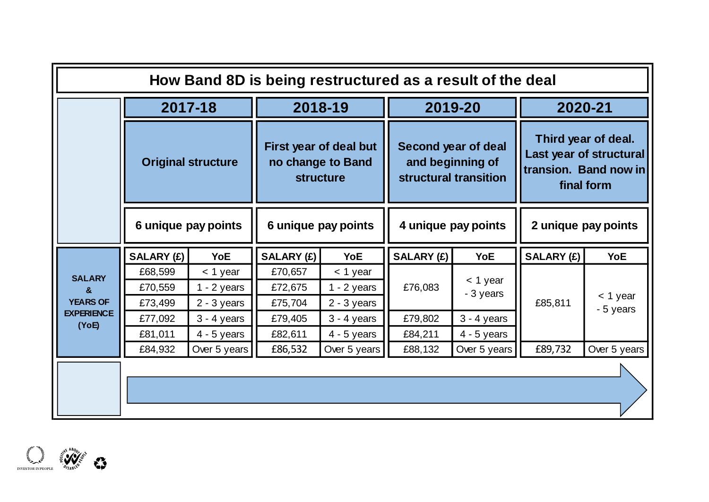|                            |                           | How Band 8D is being restructured as a result of the deal |                     |                                                                 |                   |                                                                  |                                                                                       |              |  |
|----------------------------|---------------------------|-----------------------------------------------------------|---------------------|-----------------------------------------------------------------|-------------------|------------------------------------------------------------------|---------------------------------------------------------------------------------------|--------------|--|
|                            |                           | 2017-18                                                   |                     | 2018-19                                                         |                   | 2019-20                                                          |                                                                                       | 2020-21      |  |
|                            | <b>Original structure</b> |                                                           |                     | First year of deal but<br>no change to Band<br><b>structure</b> |                   | Second year of deal<br>and beginning of<br>structural transition | Third year of deal.<br>Last year of structural<br>transion. Band now in<br>final form |              |  |
|                            |                           | 6 unique pay points                                       | 6 unique pay points |                                                                 |                   | 4 unique pay points                                              | 2 unique pay points                                                                   |              |  |
|                            | SALARY (£)                | <b>YoE</b>                                                | SALARY (£)          | <b>YoE</b>                                                      | <b>SALARY (£)</b> | <b>YoE</b>                                                       | <b>SALARY (£)</b>                                                                     | <b>YoE</b>   |  |
| <b>SALARY</b>              | £68,599                   | $<$ 1 year                                                | £70,657             | $<$ 1 year                                                      |                   |                                                                  |                                                                                       |              |  |
| $\mathbf{a}$               | £70,559                   | $1 - 2$ years                                             | £72,675             | $1 - 2$ years                                                   | £76,083           | $<$ 1 year<br>- 3 years                                          |                                                                                       | $<$ 1 year   |  |
| <b>YEARS OF</b>            | £73,499                   | $2 - 3$ years                                             | £75,704             | $2 - 3$ years                                                   |                   |                                                                  | £85,811                                                                               | - 5 years    |  |
| <b>EXPERIENCE</b><br>(YoE) | £77,092                   | $3 - 4$ years                                             | £79,405             | $3 - 4$ years                                                   | £79,802           | $3 - 4$ years                                                    |                                                                                       |              |  |
|                            | £81,011                   | $4 - 5$ years                                             | £82,611             | $4 - 5$ years                                                   | £84,211           | $4 - 5$ years                                                    |                                                                                       |              |  |
|                            | £84,932                   | Over 5 years                                              | £86,532             | Over 5 years                                                    | £88,132           | Over 5 years                                                     | £89,732                                                                               | Over 5 years |  |
|                            |                           |                                                           |                     |                                                                 |                   |                                                                  |                                                                                       |              |  |